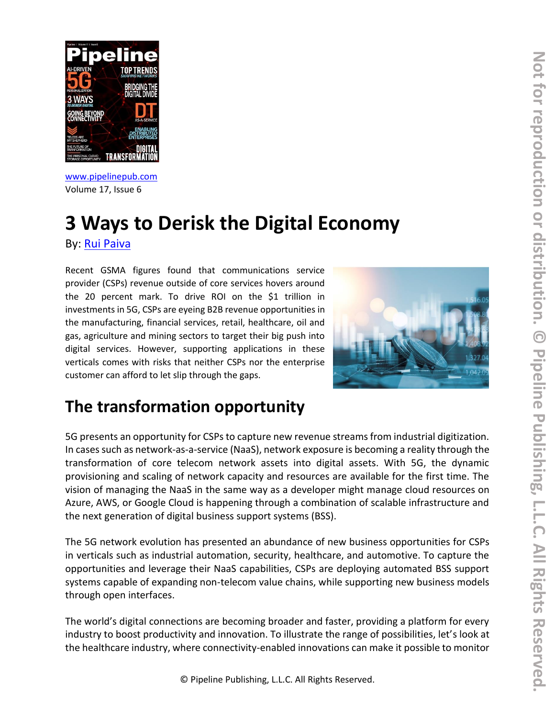

[www.pipelinepub.com](https://www.pipelinepub.com/240) Volume 17, Issue 6

### **3 Ways to Derisk the Digital Economy** By: [Rui Paiva](https://pipeline.pubspoke.com/contributors?issue_preview=240#Rui-Paiva)

Recent GSMA figures found that communications service provider (CSPs) revenue outside of core services hovers around the 20 percent mark. To drive ROI on the \$1 trillion in investments in 5G, CSPs are eyeing B2B revenue opportunities in the manufacturing, financial services, retail, healthcare, oil and gas, agriculture and mining sectors to target their big push into digital services. However, supporting applications in these verticals comes with risks that neither CSPs nor the enterprise customer can afford to let slip through the gaps.



## **The transformation opportunity**

5G presents an opportunity for CSPs to capture new revenue streams from industrial digitization. In cases such as network-as-a-service (NaaS), network exposure is becoming a reality through the transformation of core telecom network assets into digital assets. With 5G, the dynamic provisioning and scaling of network capacity and resources are available for the first time. The vision of managing the NaaS in the same way as a developer might manage cloud resources on Azure, AWS, or Google Cloud is happening through a combination of scalable infrastructure and the next generation of digital business support systems (BSS).

The 5G network evolution has presented an abundance of new business opportunities for CSPs in verticals such as industrial automation, security, healthcare, and automotive. To capture the opportunities and leverage their NaaS capabilities, CSPs are deploying automated BSS support systems capable of expanding non-telecom value chains, while supporting new business models through open interfaces.

The world's digital connections are becoming broader and faster, providing a platform for every industry to boost productivity and innovation. To illustrate the range of possibilities, let's look at the healthcare industry, where connectivity-enabled innovations can make it possible to monitor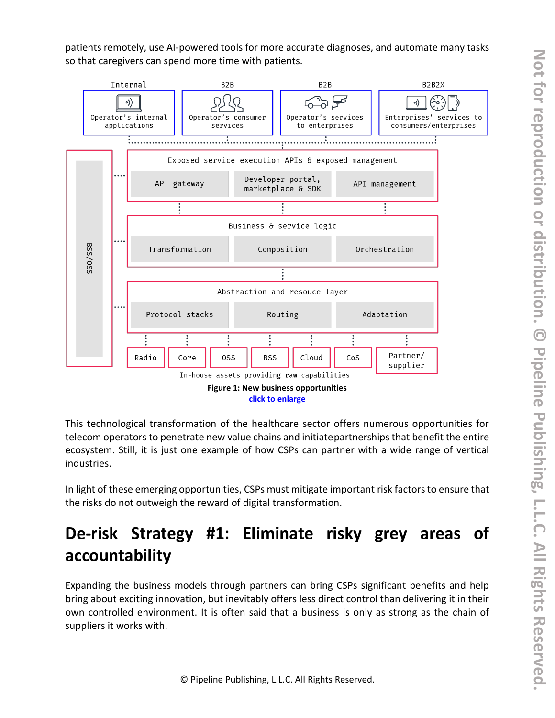patients remotely, use AI-powered tools for more accurate diagnoses, and automate many tasks so that caregivers can spend more time with patients.



This technological transformation of the healthcare sector offers numerous opportunities for telecom operators to penetrate new value chains and initiatepartnerships that benefit the entire ecosystem. Still, it is just one example of how CSPs can partner with a wide range of vertical industries.

In light of these emerging opportunities, CSPs must mitigate important risk factors to ensure that the risks do not outweigh the reward of digital transformation.

# **De-risk Strategy #1: Eliminate risky grey areas of accountability**

Expanding the business models through partners can bring CSPs significant benefits and help bring about exciting innovation, but inevitably offers less direct control than delivering it in their own controlled environment. It is often said that a business is only as strong as the chain of suppliers it works with.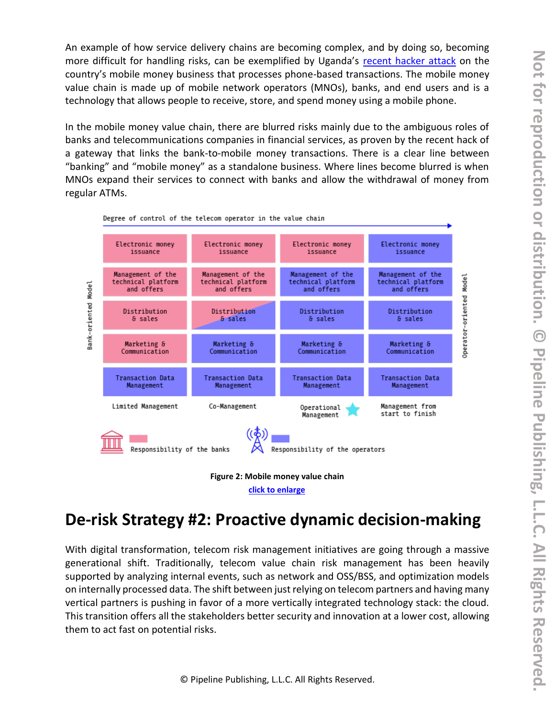An example of how service delivery chains are becoming complex, and by doing so, becoming more difficult for handling risks, can be exemplified by Uganda's [recent hacker attack](https://qz.com/africa/1915884/uganda-banks-mtn-airtel-hacked-by-mobile-money-fraudsters/) on the country's mobile money business that processes phone-based transactions. The mobile money value chain is made up of mobile network operators (MNOs), banks, and end users and is a technology that allows people to receive, store, and spend money using a mobile phone.

In the mobile money value chain, there are blurred risks mainly due to the ambiguous roles of banks and telecommunications companies in financial services, as proven by the recent hack of a gateway that links the bank-to-mobile money transactions. There is a clear line between "banking" and "mobile money" as a standalone business. Where lines become blurred is when MNOs expand their services to connect with banks and allow the withdrawal of money from regular ATMs.



Degree of control of the telecom operator in the value chain

**[click to enlarge](https://media.pipeline.pubspoke.com/files/article/2400/210309-mobileum-degree-of-control-telecom-operator.png)**

### **De-risk Strategy #2: Proactive dynamic decision-making**

With digital transformation, telecom risk management initiatives are going through a massive generational shift. Traditionally, telecom value chain risk management has been heavily supported by analyzing internal events, such as network and OSS/BSS, and optimization models on internally processed data. The shift between just relying on telecom partners and having many vertical partners is pushing in favor of a more vertically integrated technology stack: the cloud. This transition offers all the stakeholders better security and innovation at a lower cost, allowing them to act fast on potential risks.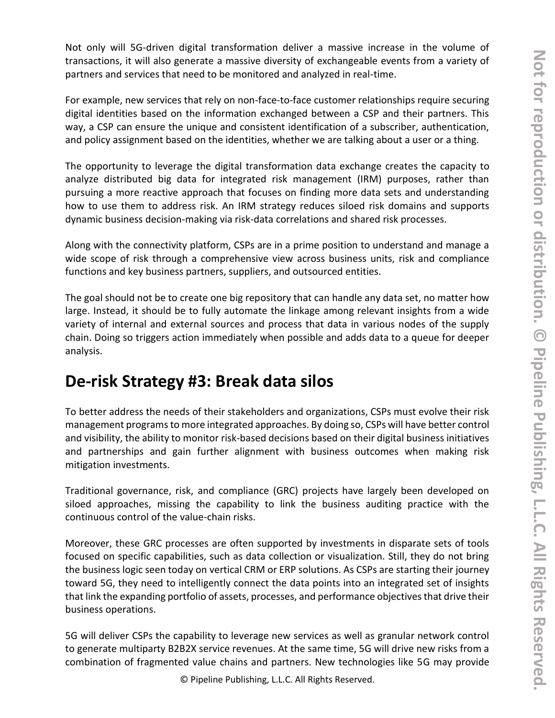Not only will 5G-driven digital transformation deliver a massive increase in the volume of transactions, it will also generate a massive diversity of exchangeable events from a variety of partners and services that need to be monitored and analyzed in real-time.

For example, new services that rely on non-face-to-face customer relationships require securing digital identities based on the information exchanged between a CSP and their partners. This way, a CSP can ensure the unique and consistent identification of a subscriber, authentication, and policy assignment based on the identities, whether we are talking about a user or a thing.

The opportunity to leverage the digital transformation data exchange creates the capacity to analyze distributed big data for integrated risk management (IRM) purposes, rather than pursuing a more reactive approach that focuses on finding more data sets and understanding how to use them to address risk. An IRM strategy reduces siloed risk domains and supports dynamic business decision-making via risk-data correlations and shared risk processes.

Along with the connectivity platform, CSPs are in a prime position to understand and manage a wide scope of risk through a comprehensive view across business units, risk and compliance functions and key business partners, suppliers, and outsourced entities.

The goal should not be to create one big repository that can handle any data set, no matter how large. Instead, it should be to fully automate the linkage among relevant insights from a wide variety of internal and external sources and process that data in various nodes of the supply chain. Doing so triggers action immediately when possible and adds data to a queue for deeper analysis.

### **De-risk Strategy #3: Break data silos**

To better address the needs of their stakeholders and organizations, CSPs must evolve their risk management programs to more integrated approaches. By doing so, CSPs will have better control and visibility, the ability to monitor risk-based decisions based on their digital business initiatives and partnerships and gain further alignment with business outcomes when making risk mitigation investments.

Traditional governance, risk, and compliance (GRC) projects have largely been developed on siloed approaches, missing the capability to link the business auditing practice with the continuous control of the value-chain risks.

Moreover, these GRC processes are often supported by investments in disparate sets of tools focused on specific capabilities, such as data collection or visualization. Still, they do not bring the business logic seen today on vertical CRM or ERP solutions. As CSPs are starting their journey toward 5G, they need to intelligently connect the data points into an integrated set of insights that link the expanding portfolio of assets, processes, and performance objectives that drive their business operations.

5G will deliver CSPs the capability to leverage new services as well as granular network control to generate multiparty B2B2X service revenues. At the same time, 5G will drive new risks from a combination of fragmented value chains and partners. New technologies like 5G may provide